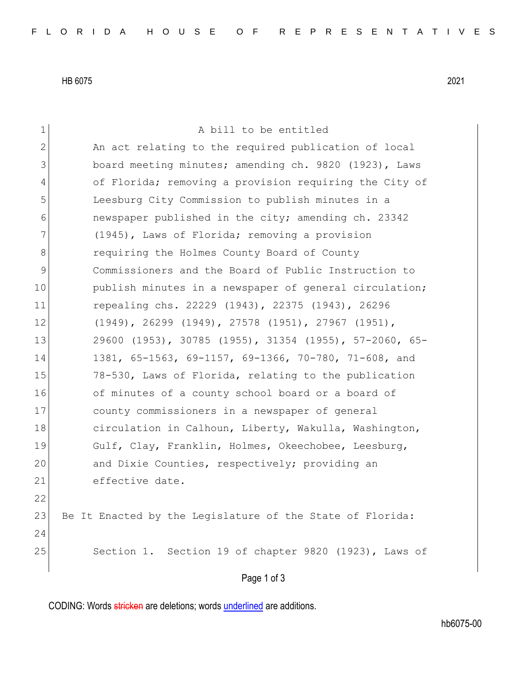HB 6075 2021

| $\mathbf 1$  | A bill to be entitled                                         |
|--------------|---------------------------------------------------------------|
| $\mathbf{2}$ | An act relating to the required publication of local          |
| 3            | board meeting minutes; amending ch. 9820 (1923), Laws         |
| 4            | of Florida; removing a provision requiring the City of        |
| 5            | Leesburg City Commission to publish minutes in a              |
| 6            | newspaper published in the city; amending ch. 23342           |
| 7            | (1945), Laws of Florida; removing a provision                 |
| 8            | requiring the Holmes County Board of County                   |
| 9            | Commissioners and the Board of Public Instruction to          |
| 10           | publish minutes in a newspaper of general circulation;        |
| 11           | repealing chs. 22229 (1943), 22375 (1943), 26296              |
| 12           | $(1949)$ , 26299 $(1949)$ , 27578 $(1951)$ , 27967 $(1951)$ , |
| 13           | 29600 (1953), 30785 (1955), 31354 (1955), 57-2060, 65-        |
| 14           | 1381, 65-1563, 69-1157, 69-1366, 70-780, 71-608, and          |
| 15           | 78-530, Laws of Florida, relating to the publication          |
| 16           | of minutes of a county school board or a board of             |
| 17           | county commissioners in a newspaper of general                |
| 18           | circulation in Calhoun, Liberty, Wakulla, Washington,         |
| 19           | Gulf, Clay, Franklin, Holmes, Okeechobee, Leesburg,           |
| 20           | and Dixie Counties, respectively; providing an                |
| 21           | effective date.                                               |
| 22           |                                                               |
| 23           | Be It Enacted by the Legislature of the State of Florida:     |
| 24           |                                                               |
| 25           | Section 1. Section 19 of chapter 9820 (1923), Laws of         |
|              | Page 1 of 3                                                   |

CODING: Words stricken are deletions; words underlined are additions.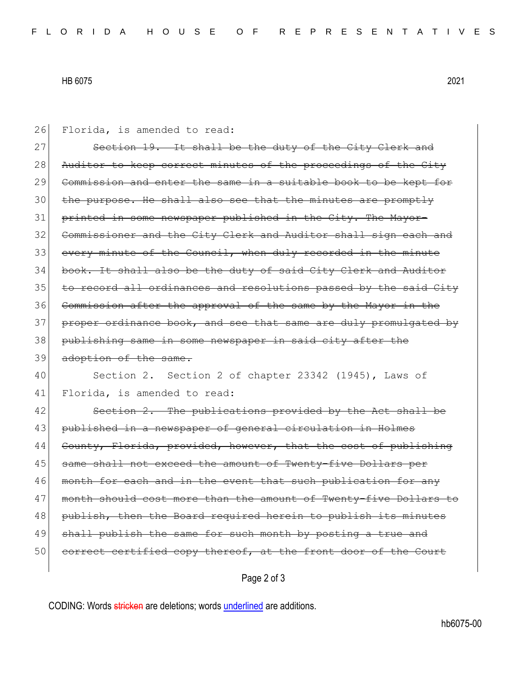## HB 6075 2021

| 26 | Florida, is amended to read:                                     |
|----|------------------------------------------------------------------|
| 27 | Section 19. It shall be the duty of the City Clerk and           |
| 28 | Auditor to keep correct minutes of the proceedings of the City   |
| 29 | Commission and enter the same in a suitable book to be kept for  |
| 30 | the purpose. He shall also see that the minutes are promptly     |
| 31 | printed in some newspaper published in the City. The Mayor-      |
| 32 | Commissioner and the City Clerk and Auditor shall sign each and  |
| 33 | every minute of the Council, when duly recorded in the minute    |
| 34 | book. It shall also be the duty of said City Clerk and Auditor   |
| 35 | to record all ordinances and resolutions passed by the said City |
| 36 | Commission after the approval of the same by the Mayor in the    |
| 37 | proper ordinance book, and see that same are duly promulgated by |
| 38 | publishing same in some newspaper in said city after the         |
|    |                                                                  |
| 39 | adoption of the same.                                            |
| 40 | Section 2. Section 2 of chapter 23342 (1945), Laws of            |
| 41 | Florida, is amended to read:                                     |
| 42 | Section 2. The publications provided by the Act shall be         |
| 43 | published in a newspaper of general circulation in Holmes        |
| 44 | County, Florida, provided, however, that the cost of publishing  |
| 45 | same shall not exceed the amount of Twenty-five Dollars per      |
| 46 | month for each and in the event that such publication for any    |
| 47 | month should cost more than the amount of Twenty-five Dollars to |
| 48 | publish, then the Board required herein to publish its minutes   |
| 49 | shall publish the same for such month by posting a true and      |
| 50 | correct certified copy thereof, at the front door of the Court   |

Page 2 of 3

CODING: Words stricken are deletions; words underlined are additions.